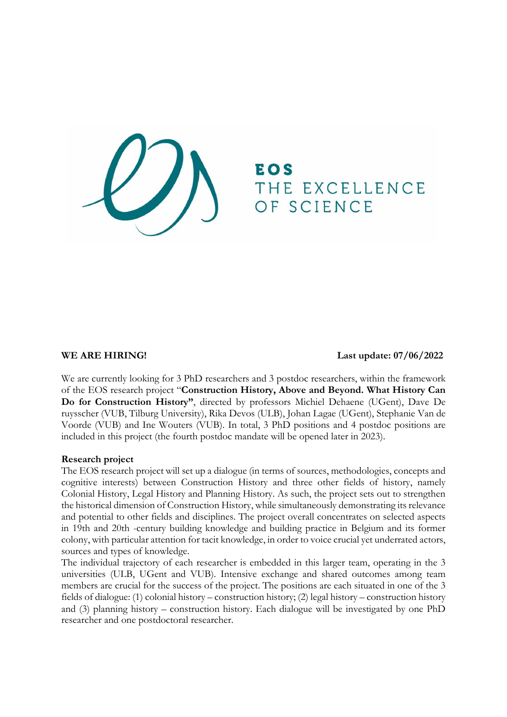THE EXCELLENCE OF SCIENCE

**WE ARE HIRING! Last update: 07/06/2022**

We are currently looking for 3 PhD researchers and 3 postdoc researchers, within the framework of the EOS research project "**Construction History, Above and Beyond. What History Can Do for Construction History"**, directed by professors Michiel Dehaene (UGent), Dave De ruysscher (VUB, Tilburg University), Rika Devos (ULB), Johan Lagae (UGent), Stephanie Van de Voorde (VUB) and Ine Wouters (VUB). In total, 3 PhD positions and 4 postdoc positions are included in this project (the fourth postdoc mandate will be opened later in 2023).

#### **Research project**

The EOS research project will set up a dialogue (in terms of sources, methodologies, concepts and cognitive interests) between Construction History and three other fields of history, namely Colonial History, Legal History and Planning History. As such, the project sets out to strengthen the historical dimension of Construction History, while simultaneously demonstrating its relevance and potential to other fields and disciplines. The project overall concentrates on selected aspects in 19th and 20th -century building knowledge and building practice in Belgium and its former colony, with particular attention for tacit knowledge, in order to voice crucial yet underrated actors, sources and types of knowledge.

The individual trajectory of each researcher is embedded in this larger team, operating in the 3 universities (ULB, UGent and VUB). Intensive exchange and shared outcomes among team members are crucial for the success of the project. The positions are each situated in one of the 3 fields of dialogue: (1) colonial history – construction history; (2) legal history – construction history and (3) planning history – construction history. Each dialogue will be investigated by one PhD researcher and one postdoctoral researcher.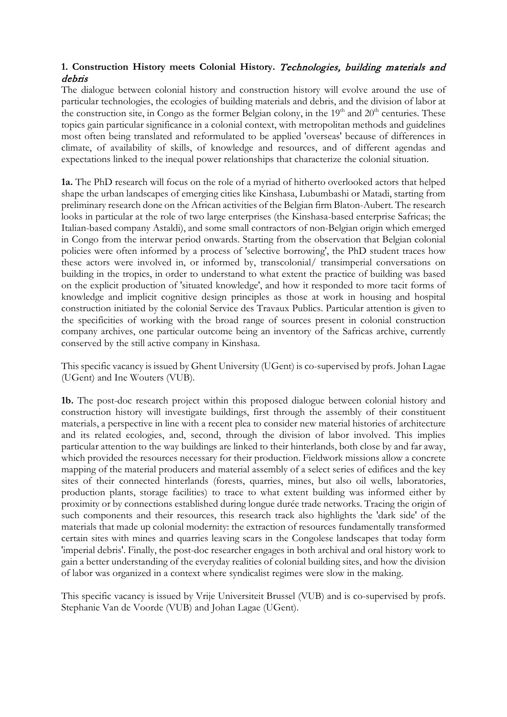# **1. Construction History meets Colonial History.** Technologies, building materials and debris

The dialogue between colonial history and construction history will evolve around the use of particular technologies, the ecologies of building materials and debris, and the division of labor at the construction site, in Congo as the former Belgian colony, in the 19<sup>th</sup> and 20<sup>th</sup> centuries. These topics gain particular significance in a colonial context, with metropolitan methods and guidelines most often being translated and reformulated to be applied 'overseas' because of differences in climate, of availability of skills, of knowledge and resources, and of different agendas and expectations linked to the inequal power relationships that characterize the colonial situation.

**1a.** The PhD research will focus on the role of a myriad of hitherto overlooked actors that helped shape the urban landscapes of emerging cities like Kinshasa, Lubumbashi or Matadi, starting from preliminary research done on the African activities of the Belgian firm Blaton-Aubert. The research looks in particular at the role of two large enterprises (the Kinshasa-based enterprise Safricas; the Italian-based company Astaldi), and some small contractors of non-Belgian origin which emerged in Congo from the interwar period onwards. Starting from the observation that Belgian colonial policies were often informed by a process of 'selective borrowing', the PhD student traces how these actors were involved in, or informed by, transcolonial/ transimperial conversations on building in the tropics, in order to understand to what extent the practice of building was based on the explicit production of 'situated knowledge', and how it responded to more tacit forms of knowledge and implicit cognitive design principles as those at work in housing and hospital construction initiated by the colonial Service des Travaux Publics. Particular attention is given to the specificities of working with the broad range of sources present in colonial construction company archives, one particular outcome being an inventory of the Safricas archive, currently conserved by the still active company in Kinshasa.

This specific vacancy is issued by Ghent University (UGent) is co-supervised by profs. Johan Lagae (UGent) and Ine Wouters (VUB).

**1b.** The post-doc research project within this proposed dialogue between colonial history and construction history will investigate buildings, first through the assembly of their constituent materials, a perspective in line with a recent plea to consider new material histories of architecture and its related ecologies, and, second, through the division of labor involved. This implies particular attention to the way buildings are linked to their hinterlands, both close by and far away, which provided the resources necessary for their production. Fieldwork missions allow a concrete mapping of the material producers and material assembly of a select series of edifices and the key sites of their connected hinterlands (forests, quarries, mines, but also oil wells, laboratories, production plants, storage facilities) to trace to what extent building was informed either by proximity or by connections established during longue durée trade networks. Tracing the origin of such components and their resources, this research track also highlights the 'dark side' of the materials that made up colonial modernity: the extraction of resources fundamentally transformed certain sites with mines and quarries leaving scars in the Congolese landscapes that today form 'imperial debris'. Finally, the post-doc researcher engages in both archival and oral history work to gain a better understanding of the everyday realities of colonial building sites, and how the division of labor was organized in a context where syndicalist regimes were slow in the making.

This specific vacancy is issued by Vrije Universiteit Brussel (VUB) and is co-supervised by profs. Stephanie Van de Voorde (VUB) and Johan Lagae (UGent).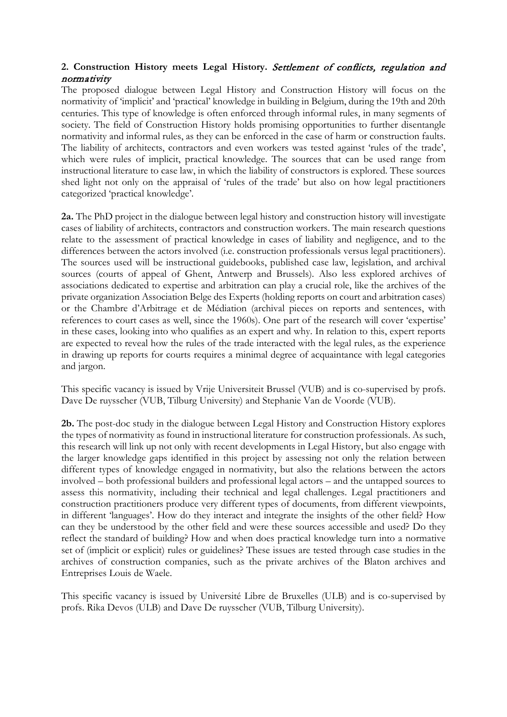# **2. Construction History meets Legal History.** Settlement of conflicts, regulation and normativity

The proposed dialogue between Legal History and Construction History will focus on the normativity of 'implicit' and 'practical' knowledge in building in Belgium, during the 19th and 20th centuries. This type of knowledge is often enforced through informal rules, in many segments of society. The field of Construction History holds promising opportunities to further disentangle normativity and informal rules, as they can be enforced in the case of harm or construction faults. The liability of architects, contractors and even workers was tested against 'rules of the trade', which were rules of implicit, practical knowledge. The sources that can be used range from instructional literature to case law, in which the liability of constructors is explored. These sources shed light not only on the appraisal of 'rules of the trade' but also on how legal practitioners categorized 'practical knowledge'.

**2a.** The PhD project in the dialogue between legal history and construction history will investigate cases of liability of architects, contractors and construction workers. The main research questions relate to the assessment of practical knowledge in cases of liability and negligence, and to the differences between the actors involved (i.e. construction professionals versus legal practitioners). The sources used will be instructional guidebooks, published case law, legislation, and archival sources (courts of appeal of Ghent, Antwerp and Brussels). Also less explored archives of associations dedicated to expertise and arbitration can play a crucial role, like the archives of the private organization Association Belge des Experts (holding reports on court and arbitration cases) or the Chambre d'Arbitrage et de Médiation (archival pieces on reports and sentences, with references to court cases as well, since the 1960s). One part of the research will cover 'expertise' in these cases, looking into who qualifies as an expert and why. In relation to this, expert reports are expected to reveal how the rules of the trade interacted with the legal rules, as the experience in drawing up reports for courts requires a minimal degree of acquaintance with legal categories and jargon.

This specific vacancy is issued by Vrije Universiteit Brussel (VUB) and is co-supervised by profs. Dave De ruysscher (VUB, Tilburg University) and Stephanie Van de Voorde (VUB).

**2b.** The post-doc study in the dialogue between Legal History and Construction History explores the types of normativity as found in instructional literature for construction professionals. As such, this research will link up not only with recent developments in Legal History, but also engage with the larger knowledge gaps identified in this project by assessing not only the relation between different types of knowledge engaged in normativity, but also the relations between the actors involved – both professional builders and professional legal actors – and the untapped sources to assess this normativity, including their technical and legal challenges. Legal practitioners and construction practitioners produce very different types of documents, from different viewpoints, in different 'languages'. How do they interact and integrate the insights of the other field? How can they be understood by the other field and were these sources accessible and used? Do they reflect the standard of building? How and when does practical knowledge turn into a normative set of (implicit or explicit) rules or guidelines? These issues are tested through case studies in the archives of construction companies, such as the private archives of the Blaton archives and Entreprises Louis de Waele.

This specific vacancy is issued by Université Libre de Bruxelles (ULB) and is co-supervised by profs. Rika Devos (ULB) and Dave De ruysscher (VUB, Tilburg University).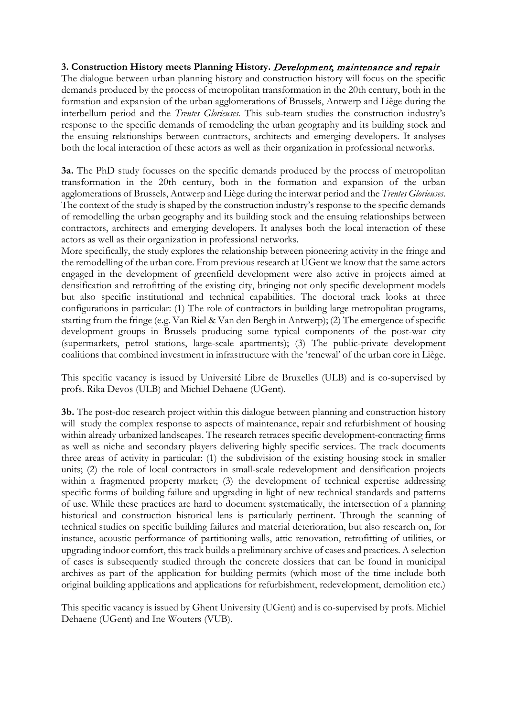## **3. Construction History meets Planning History.** Development, maintenance and repair

The dialogue between urban planning history and construction history will focus on the specific demands produced by the process of metropolitan transformation in the 20th century, both in the formation and expansion of the urban agglomerations of Brussels, Antwerp and Liège during the interbellum period and the *Trentes Glorieuses.* This sub-team studies the construction industry's response to the specific demands of remodeling the urban geography and its building stock and the ensuing relationships between contractors, architects and emerging developers. It analyses both the local interaction of these actors as well as their organization in professional networks.

**3a.** The PhD study focusses on the specific demands produced by the process of metropolitan transformation in the 20th century, both in the formation and expansion of the urban agglomerations of Brussels, Antwerp and Liège during the interwar period and the *Trentes Glorieuses*. The context of the study is shaped by the construction industry's response to the specific demands of remodelling the urban geography and its building stock and the ensuing relationships between contractors, architects and emerging developers. It analyses both the local interaction of these actors as well as their organization in professional networks.

More specifically, the study explores the relationship between pioneering activity in the fringe and the remodelling of the urban core. From previous research at UGent we know that the same actors engaged in the development of greenfield development were also active in projects aimed at densification and retrofitting of the existing city, bringing not only specific development models but also specific institutional and technical capabilities. The doctoral track looks at three configurations in particular: (1) The role of contractors in building large metropolitan programs, starting from the fringe (e.g. Van Riel & Van den Bergh in Antwerp); (2) The emergence of specific development groups in Brussels producing some typical components of the post-war city (supermarkets, petrol stations, large-scale apartments); (3) The public-private development coalitions that combined investment in infrastructure with the 'renewal' of the urban core in Liège.

This specific vacancy is issued by Université Libre de Bruxelles (ULB) and is co-supervised by profs. Rika Devos (ULB) and Michiel Dehaene (UGent).

**3b.** The post-doc research project within this dialogue between planning and construction history will study the complex response to aspects of maintenance, repair and refurbishment of housing within already urbanized landscapes. The research retraces specific development-contracting firms as well as niche and secondary players delivering highly specific services. The track documents three areas of activity in particular: (1) the subdivision of the existing housing stock in smaller units; (2) the role of local contractors in small-scale redevelopment and densification projects within a fragmented property market; (3) the development of technical expertise addressing specific forms of building failure and upgrading in light of new technical standards and patterns of use. While these practices are hard to document systematically, the intersection of a planning historical and construction historical lens is particularly pertinent. Through the scanning of technical studies on specific building failures and material deterioration, but also research on, for instance, acoustic performance of partitioning walls, attic renovation, retrofitting of utilities, or upgrading indoor comfort, this track builds a preliminary archive of cases and practices. A selection of cases is subsequently studied through the concrete dossiers that can be found in municipal archives as part of the application for building permits (which most of the time include both original building applications and applications for refurbishment, redevelopment, demolition etc.)

This specific vacancy is issued by Ghent University (UGent) and is co-supervised by profs. Michiel Dehaene (UGent) and Ine Wouters (VUB).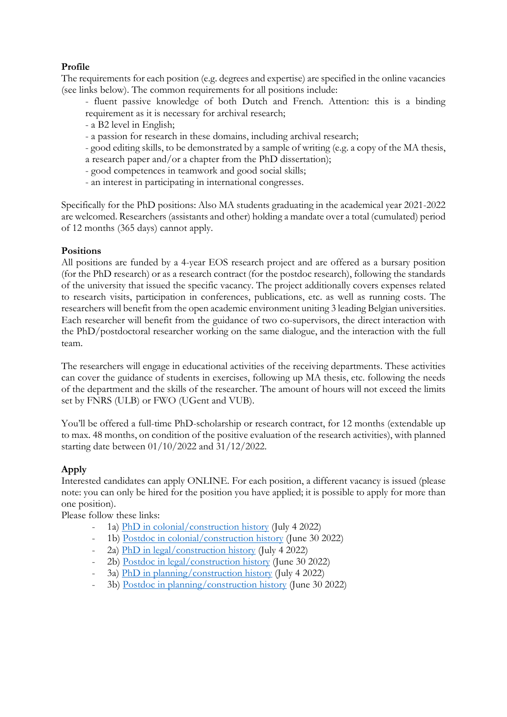# **Profile**

The requirements for each position (e.g. degrees and expertise) are specified in the online vacancies (see links below). The common requirements for all positions include:

- fluent passive knowledge of both Dutch and French. Attention: this is a binding requirement as it is necessary for archival research;
- a B2 level in English;
- a passion for research in these domains, including archival research;
- good editing skills, to be demonstrated by a sample of writing (e.g. a copy of the MA thesis, a research paper and/or a chapter from the PhD dissertation);
- good competences in teamwork and good social skills;
- an interest in participating in international congresses.

Specifically for the PhD positions: Also MA students graduating in the academical year 2021-2022 are welcomed. Researchers (assistants and other) holding a mandate over a total (cumulated) period of 12 months (365 days) cannot apply.

## **Positions**

All positions are funded by a 4-year EOS research project and are offered as a bursary position (for the PhD research) or as a research contract (for the postdoc research), following the standards of the university that issued the specific vacancy. The project additionally covers expenses related to research visits, participation in conferences, publications, etc. as well as running costs. The researchers will benefit from the open academic environment uniting 3 leading Belgian universities. Each researcher will benefit from the guidance of two co-supervisors, the direct interaction with the PhD/postdoctoral researcher working on the same dialogue, and the interaction with the full team.

The researchers will engage in educational activities of the receiving departments. These activities can cover the guidance of students in exercises, following up MA thesis, etc. following the needs of the department and the skills of the researcher. The amount of hours will not exceed the limits set by FNRS (ULB) or FWO (UGent and VUB).

You'll be offered a full-time PhD-scholarship or research contract, for 12 months (extendable up to max. 48 months, on condition of the positive evaluation of the research activities), with planned starting date between 01/10/2022 and 31/12/2022.

# **Apply**

Interested candidates can apply ONLINE. For each position, a different vacancy is issued (please note: you can only be hired for the position you have applied; it is possible to apply for more than one position).

Please follow these links:

- 1a) [PhD in colonial/construction history](https://career012.successfactors.eu/career?company=C0000956575P&career_job_req_id=23771&career_ns=job_listing&navBarLevel=JOB_SEARCH) (July 4 2022)
- 1b) [Postdoc in colonial/construction history](https://jobs.vub.be/job/Elsene-Postdoc-position-in-Colonial-History-and-Construction-History/814199101/) (June 30 2022)
- 2a) [PhD in legal/construction history](https://jobs.vub.be/job/Elsene-PhD-Scholarship-Legal-History-and-Construction-History/814220501/) (July 4 2022)
- 2b) [Postdoc in legal/construction history](https://euraxess.ec.europa.eu/jobs/789321) (June 30 2022)
- 3a) [PhD in planning/construction history](https://euraxess.ec.europa.eu/jobs/789297) (July 4 2022)
- 3b) [Postdoc in planning/construction history](https://career012.successfactors.eu/career?company=C0000956575P&career_job_req_id=23731&career_ns=job_listing&navBarLevel=JOB_SEARCH) (June 30 2022)